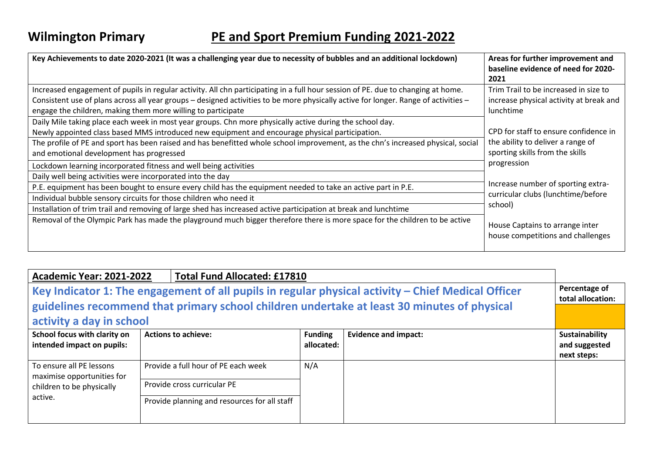| Key Achievements to date 2020-2021 (It was a challenging year due to necessity of bubbles and an additional lockdown)                                                                                                                                                                                                                                                                                                                               | Areas for further improvement and<br>baseline evidence of need for 2020-<br>2021                                                                                                                                    |  |
|-----------------------------------------------------------------------------------------------------------------------------------------------------------------------------------------------------------------------------------------------------------------------------------------------------------------------------------------------------------------------------------------------------------------------------------------------------|---------------------------------------------------------------------------------------------------------------------------------------------------------------------------------------------------------------------|--|
| Increased engagement of pupils in regular activity. All chn participating in a full hour session of PE. due to changing at home.<br>Consistent use of plans across all year groups - designed activities to be more physically active for longer. Range of activities -<br>engage the children, making them more willing to participate<br>Daily Mile taking place each week in most year groups. Chn more physically active during the school day. | Trim Trail to be increased in size to<br>increase physical activity at break and<br>lunchtime                                                                                                                       |  |
| Newly appointed class based MMS introduced new equipment and encourage physical participation.<br>The profile of PE and sport has been raised and has benefitted whole school improvement, as the chn's increased physical, social<br>and emotional development has progressed                                                                                                                                                                      | CPD for staff to ensure confidence in<br>the ability to deliver a range of<br>sporting skills from the skills<br>progression<br>Increase number of sporting extra-<br>curricular clubs (lunchtime/before<br>school) |  |
| Lockdown learning incorporated fitness and well being activities<br>Daily well being activities were incorporated into the day<br>P.E. equipment has been bought to ensure every child has the equipment needed to take an active part in P.E.<br>Individual bubble sensory circuits for those children who need it<br>Installation of trim trail and removing of large shed has increased active participation at break and lunchtime              |                                                                                                                                                                                                                     |  |
| Removal of the Olympic Park has made the playground much bigger therefore there is more space for the children to be active                                                                                                                                                                                                                                                                                                                         | House Captains to arrange inter<br>house competitions and challenges                                                                                                                                                |  |

| <b>Total Fund Allocated: £17810</b><br><b>Academic Year: 2021-2022</b>                                                                                                                                                        |  |                                                                                                                    |                              |                                    |                                                |
|-------------------------------------------------------------------------------------------------------------------------------------------------------------------------------------------------------------------------------|--|--------------------------------------------------------------------------------------------------------------------|------------------------------|------------------------------------|------------------------------------------------|
| Key Indicator 1: The engagement of all pupils in regular physical activity - Chief Medical Officer<br>guidelines recommend that primary school children undertake at least 30 minutes of physical<br>activity a day in school |  |                                                                                                                    |                              | Percentage of<br>total allocation: |                                                |
| School focus with clarity on<br>intended impact on pupils:                                                                                                                                                                    |  | <b>Actions to achieve:</b>                                                                                         | <b>Funding</b><br>allocated: | <b>Evidence and impact:</b>        | Sustainability<br>and suggested<br>next steps: |
| To ensure all PE lessons<br>maximise opportunities for<br>children to be physically<br>active.                                                                                                                                |  | Provide a full hour of PE each week<br>Provide cross curricular PE<br>Provide planning and resources for all staff | N/A                          |                                    |                                                |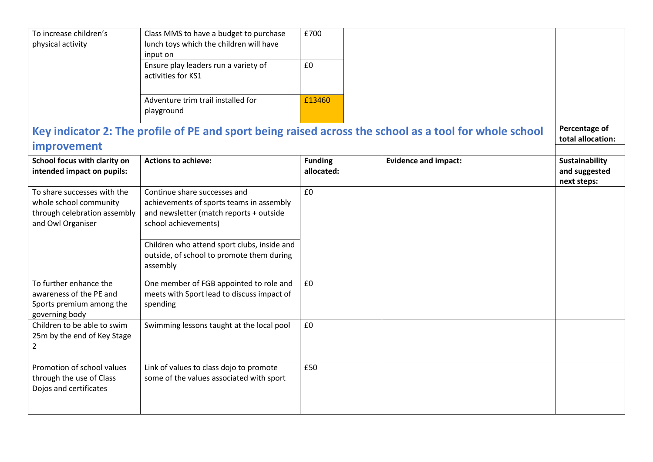| To increase children's<br>physical activity                                                                | Class MMS to have a budget to purchase<br>lunch toys which the children will have<br>input on<br>Ensure play leaders run a variety of<br>activities for KS1                                                                                         | £700<br>£0                   |                             |                                                |
|------------------------------------------------------------------------------------------------------------|-----------------------------------------------------------------------------------------------------------------------------------------------------------------------------------------------------------------------------------------------------|------------------------------|-----------------------------|------------------------------------------------|
|                                                                                                            | Adventure trim trail installed for<br>playground                                                                                                                                                                                                    | £13460                       |                             |                                                |
| Key indicator 2: The profile of PE and sport being raised across the school as a tool for whole school     |                                                                                                                                                                                                                                                     |                              |                             | Percentage of<br>total allocation:             |
| improvement<br>School focus with clarity on<br>intended impact on pupils:                                  | <b>Actions to achieve:</b>                                                                                                                                                                                                                          | <b>Funding</b><br>allocated: | <b>Evidence and impact:</b> | Sustainability<br>and suggested<br>next steps: |
| To share successes with the<br>whole school community<br>through celebration assembly<br>and Owl Organiser | Continue share successes and<br>achievements of sports teams in assembly<br>and newsletter (match reports + outside<br>school achievements)<br>Children who attend sport clubs, inside and<br>outside, of school to promote them during<br>assembly | £0                           |                             |                                                |
| To further enhance the<br>awareness of the PE and<br>Sports premium among the<br>governing body            | One member of FGB appointed to role and<br>meets with Sport lead to discuss impact of<br>spending                                                                                                                                                   | £0                           |                             |                                                |
| Children to be able to swim<br>25m by the end of Key Stage<br>$\overline{2}$                               | Swimming lessons taught at the local pool                                                                                                                                                                                                           | £0                           |                             |                                                |
| Promotion of school values<br>through the use of Class<br>Dojos and certificates                           | Link of values to class dojo to promote<br>some of the values associated with sport                                                                                                                                                                 | £50                          |                             |                                                |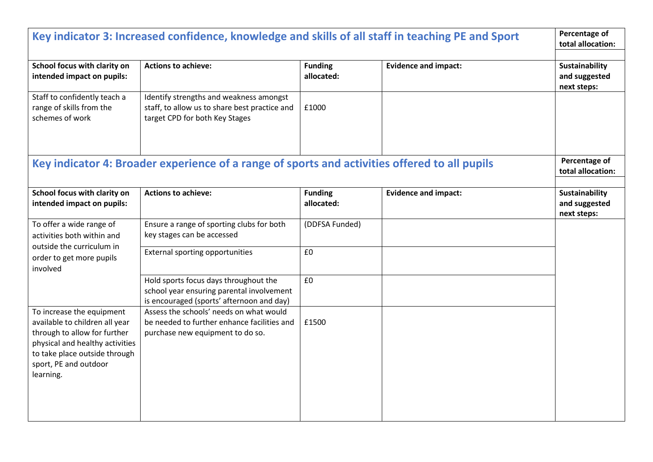| Key indicator 3: Increased confidence, knowledge and skills of all staff in teaching PE and Sport                                                                                                     |                                                                                                                                 |                              |                             | Percentage of<br>total allocation:             |
|-------------------------------------------------------------------------------------------------------------------------------------------------------------------------------------------------------|---------------------------------------------------------------------------------------------------------------------------------|------------------------------|-----------------------------|------------------------------------------------|
| School focus with clarity on<br>intended impact on pupils:                                                                                                                                            | <b>Actions to achieve:</b>                                                                                                      | <b>Funding</b><br>allocated: | <b>Evidence and impact:</b> | Sustainability<br>and suggested<br>next steps: |
| Staff to confidently teach a<br>range of skills from the<br>schemes of work                                                                                                                           | Identify strengths and weakness amongst<br>staff, to allow us to share best practice and<br>target CPD for both Key Stages      | £1000                        |                             |                                                |
|                                                                                                                                                                                                       | Key indicator 4: Broader experience of a range of sports and activities offered to all pupils                                   |                              |                             | Percentage of<br>total allocation:             |
| School focus with clarity on<br>intended impact on pupils:                                                                                                                                            | <b>Actions to achieve:</b>                                                                                                      | <b>Funding</b><br>allocated: | <b>Evidence and impact:</b> | Sustainability<br>and suggested<br>next steps: |
| To offer a wide range of<br>activities both within and                                                                                                                                                | Ensure a range of sporting clubs for both<br>key stages can be accessed                                                         | (DDFSA Funded)               |                             |                                                |
| outside the curriculum in<br>order to get more pupils<br>involved                                                                                                                                     | External sporting opportunities                                                                                                 | £0                           |                             |                                                |
|                                                                                                                                                                                                       | Hold sports focus days throughout the<br>school year ensuring parental involvement<br>is encouraged (sports' afternoon and day) | £0                           |                             |                                                |
| To increase the equipment<br>available to children all year<br>through to allow for further<br>physical and healthy activities<br>to take place outside through<br>sport, PE and outdoor<br>learning. | Assess the schools' needs on what would<br>be needed to further enhance facilities and<br>purchase new equipment to do so.      | £1500                        |                             |                                                |
|                                                                                                                                                                                                       |                                                                                                                                 |                              |                             |                                                |